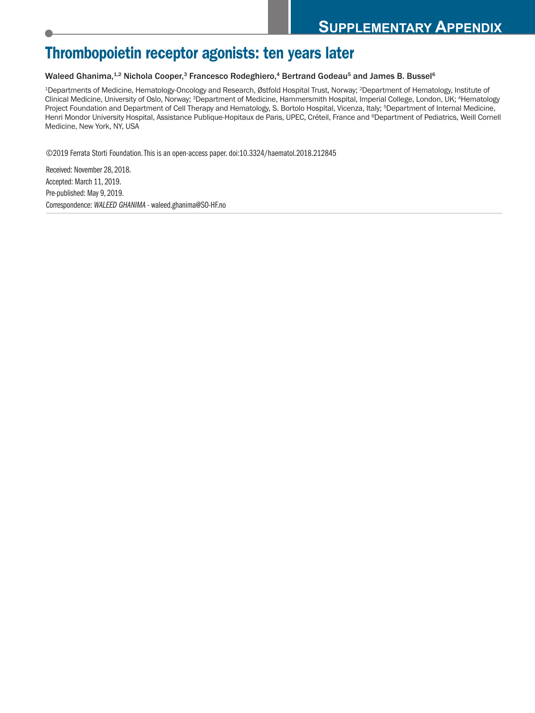# **Thrombopoietin receptor agonists: ten years later**

#### Waleed Ghanima,<sup>1.2</sup> Nichola Cooper,<sup>3</sup> Francesco Rodeghiero,<sup>4</sup> Bertrand Godeau<sup>5</sup> and James B. Bussel<sup>6</sup>

1Departments of Medicine, Hematology-Oncology and Research, Østfold Hospital Trust, Norway; 2Department of Hematology, Institute of Clinical Medicine, University of Oslo, Norway; 3Department of Medicine, Hammersmith Hospital, Imperial College, London, UK; 4Hematology Project Foundation and Department of Cell Therapy and Hematology, S. Bortolo Hospital, Vicenza, Italy; 5Department of Internal Medicine, Henri Mondor University Hospital, Assistance Publique-Hopitaux de Paris, UPEC, Créteil, France and <sup>6</sup>Department of Pediatrics, Weill Cornell Medicine, New York, NY, USA

©2019 Ferrata Storti Foundation.This is an open-access paper. doi:10.3324/haematol.2018.212845

Received: November 28, 2018. Accepted: March 11, 2019. Pre-published: May 9, 2019. Correspondence: *WALEED GHANIMA* - waleed.ghanima@SO-HF.no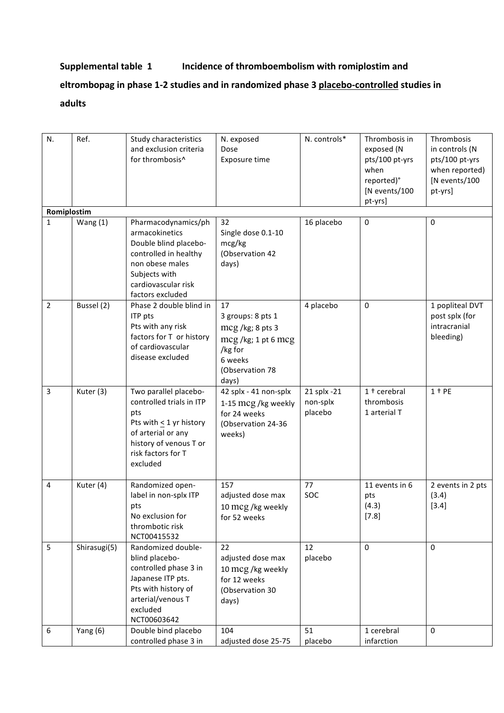### **Supplemental table 1 Incidence of thromboembolism with romiplostim and**

## eltrombopag in phase 1-2 studies and in randomized phase 3 placebo-controlled studies in **adults**

| N.             | Ref.         | Study characteristics<br>and exclusion criteria<br>for thrombosis^                                                                                                     | N. exposed<br>Dose<br>Exposure time                                                                                 | N. controls*                       | Thrombosis in<br>exposed (N<br>pts/100 pt-yrs<br>when<br>reported)°<br>[N events/100<br>pt-yrs] | Thrombosis<br>in controls (N<br>pts/100 pt-yrs<br>when reported)<br>[N events/100<br>pt-yrs] |
|----------------|--------------|------------------------------------------------------------------------------------------------------------------------------------------------------------------------|---------------------------------------------------------------------------------------------------------------------|------------------------------------|-------------------------------------------------------------------------------------------------|----------------------------------------------------------------------------------------------|
| Romiplostim    |              |                                                                                                                                                                        |                                                                                                                     |                                    |                                                                                                 |                                                                                              |
| $\mathbf{1}$   | Wang $(1)$   | Pharmacodynamics/ph<br>armacokinetics<br>Double blind placebo-<br>controlled in healthy<br>non obese males<br>Subjects with<br>cardiovascular risk<br>factors excluded | 32<br>Single dose 0.1-10<br>mcg/kg<br>(Observation 42<br>days)                                                      | 16 placebo                         | $\boldsymbol{0}$                                                                                | $\mathbf{0}$                                                                                 |
| $\overline{2}$ | Bussel (2)   | Phase 2 double blind in<br>ITP pts<br>Pts with any risk<br>factors for T or history<br>of cardiovascular<br>disease excluded                                           | 17<br>3 groups: 8 pts 1<br>mcg /kg; 8 pts 3<br>mcg/kg; 1 pt 6 mcg<br>/kg for<br>6 weeks<br>(Observation 78<br>days) | 4 placebo                          | $\mathbf 0$                                                                                     | 1 popliteal DVT<br>post splx (for<br>intracranial<br>bleeding)                               |
| 3              | Kuter (3)    | Two parallel placebo-<br>controlled trials in ITP<br>pts<br>Pts with < 1 yr history<br>of arterial or any<br>history of venous T or<br>risk factors for T<br>excluded  | 42 splx - 41 non-splx<br>1-15 mcg /kg weekly<br>for 24 weeks<br>(Observation 24-36<br>weeks)                        | 21 splx -21<br>non-splx<br>placebo | 1 + cerebral<br>thrombosis<br>1 arterial T                                                      | $1 + PE$                                                                                     |
| 4              | Kuter (4)    | Randomized open-<br>label in non-splx ITP<br>pts<br>No exclusion for<br>thrombotic risk<br>NCT00415532                                                                 | 157<br>adjusted dose max<br>10 mcg /kg weekly<br>for 52 weeks                                                       | 77<br>SOC                          | 11 events in 6<br>pts<br>(4.3)<br>[7.8]                                                         | 2 events in 2 pts<br>(3.4)<br>[3.4]                                                          |
| 5              | Shirasugi(5) | Randomized double-<br>blind placebo-<br>controlled phase 3 in<br>Japanese ITP pts.<br>Pts with history of<br>arterial/venous T<br>excluded<br>NCT00603642              | 22<br>adjusted dose max<br>10 mcg /kg weekly<br>for 12 weeks<br>(Observation 30<br>days)                            | 12<br>placebo                      | 0                                                                                               | $\Omega$                                                                                     |
| 6              | Yang $(6)$   | Double bind placebo<br>controlled phase 3 in                                                                                                                           | 104<br>adjusted dose 25-75                                                                                          | 51<br>placebo                      | 1 cerebral<br>infarction                                                                        | 0                                                                                            |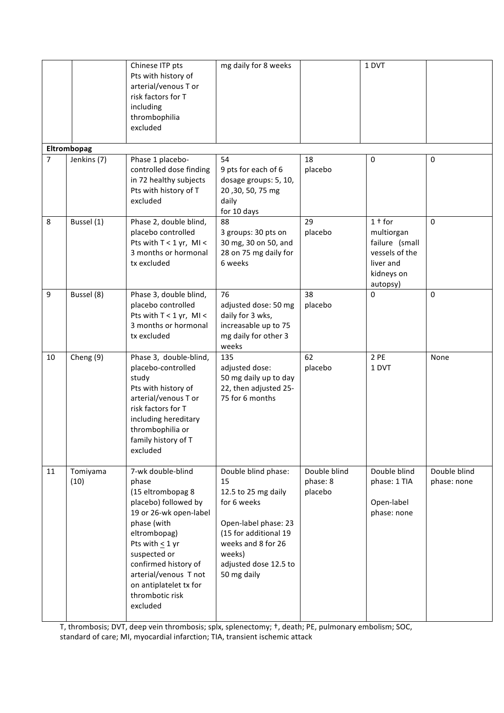|                |                  | Chinese ITP pts<br>Pts with history of<br>arterial/venous T or<br>risk factors for T<br>including<br>thrombophilia<br>excluded                                                                                                                                                  | mg daily for 8 weeks                                                                                                                                                                     |                                     | 1 DVT                                                                                             |                             |
|----------------|------------------|---------------------------------------------------------------------------------------------------------------------------------------------------------------------------------------------------------------------------------------------------------------------------------|------------------------------------------------------------------------------------------------------------------------------------------------------------------------------------------|-------------------------------------|---------------------------------------------------------------------------------------------------|-----------------------------|
| Eltrombopag    |                  |                                                                                                                                                                                                                                                                                 |                                                                                                                                                                                          |                                     |                                                                                                   |                             |
| $\overline{7}$ | Jenkins (7)      | Phase 1 placebo-<br>controlled dose finding<br>in 72 healthy subjects<br>Pts with history of T<br>excluded                                                                                                                                                                      | 54<br>9 pts for each of 6<br>dosage groups: 5, 10,<br>20, 30, 50, 75 mg<br>daily<br>for 10 days                                                                                          | 18<br>placebo                       | $\mathbf 0$                                                                                       | $\mathbf 0$                 |
| 8              | Bussel (1)       | Phase 2, double blind,<br>placebo controlled<br>Pts with $T < 1$ yr, MI <<br>3 months or hormonal<br>tx excluded                                                                                                                                                                | 88<br>3 groups: 30 pts on<br>30 mg, 30 on 50, and<br>28 on 75 mg daily for<br>6 weeks                                                                                                    | 29<br>placebo                       | $1†$ for<br>multiorgan<br>failure (small<br>vessels of the<br>liver and<br>kidneys on<br>autopsy) | $\Omega$                    |
| 9              | Bussel (8)       | Phase 3, double blind,<br>placebo controlled<br>Pts with T < 1 yr, MI <<br>3 months or hormonal<br>tx excluded                                                                                                                                                                  | 76<br>adjusted dose: 50 mg<br>daily for 3 wks,<br>increasable up to 75<br>mg daily for other 3<br>weeks                                                                                  | 38<br>placebo                       | $\Omega$                                                                                          | $\Omega$                    |
| 10             | Cheng (9)        | Phase 3, double-blind,<br>placebo-controlled<br>study<br>Pts with history of<br>arterial/venous T or<br>risk factors for T<br>including hereditary<br>thrombophilia or<br>family history of T<br>excluded                                                                       | 135<br>adjusted dose:<br>50 mg daily up to day<br>22, then adjusted 25-<br>75 for 6 months                                                                                               | 62<br>placebo                       | 2 PE<br>1 DVT                                                                                     | None                        |
| 11             | Tomiyama<br>(10) | 7-wk double-blind<br>phase<br>(15 eltrombopag 8<br>placebo) followed by<br>19 or 26-wk open-label<br>phase (with<br>eltrombopag)<br>Pts with $<$ 1 yr<br>suspected or<br>confirmed history of<br>arterial/venous T not<br>on antiplatelet tx for<br>thrombotic risk<br>excluded | Double blind phase:<br>15<br>12.5 to 25 mg daily<br>for 6 weeks<br>Open-label phase: 23<br>(15 for additional 19<br>weeks and 8 for 26<br>weeks)<br>adjusted dose 12.5 to<br>50 mg daily | Double blind<br>phase: 8<br>placebo | Double blind<br>phase: 1 TIA<br>Open-label<br>phase: none                                         | Double blind<br>phase: none |

T, thrombosis; DVT, deep vein thrombosis; splx, splenectomy;  $\dagger$ , death; PE, pulmonary embolism; SOC, standard of care; MI, myocardial infarction; TIA, transient ischemic attack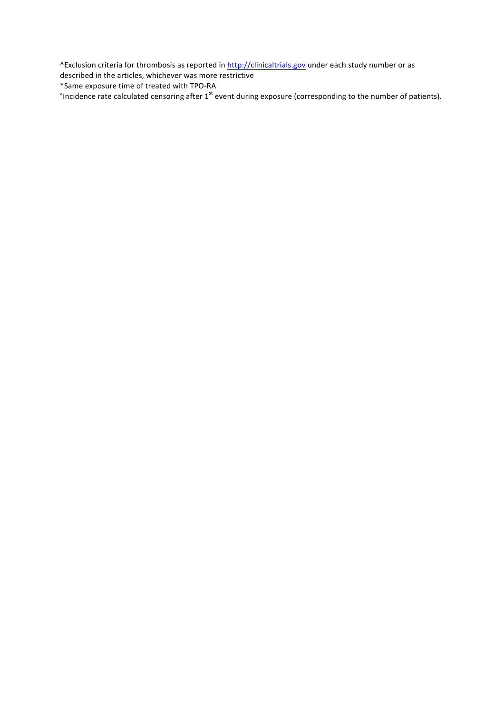^Exclusion criteria for thrombosis as reported in http://clinicaltrials.gov under each study number or as

described in the articles, whichever was more restrictive

\*Same exposure time of treated with TPO-RA

°Incidence rate calculated censoring after  $1^{st}$  event during exposure (corresponding to the number of patients).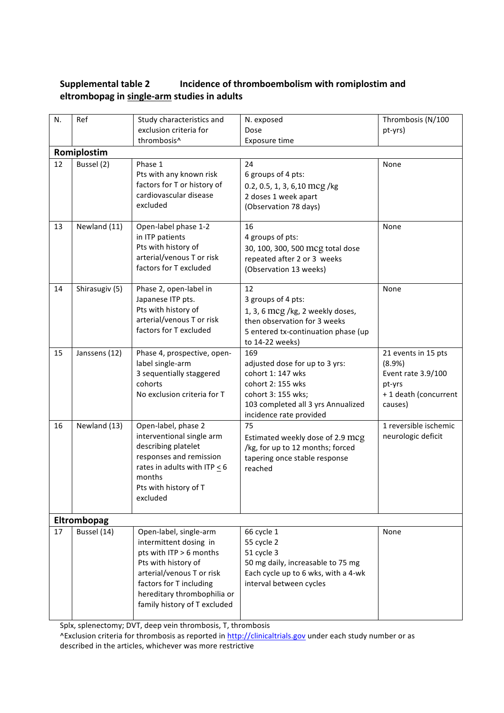### **Supplemental table 2 Incidence of thromboembolism with romiplostim and eltrombopag in single-arm studies in adults**

| N.          | Ref            | Study characteristics and                                                                                                                                                                                                 | N. exposed                                                                                                                                                             | Thrombosis (N/100                                                                                |  |  |  |
|-------------|----------------|---------------------------------------------------------------------------------------------------------------------------------------------------------------------------------------------------------------------------|------------------------------------------------------------------------------------------------------------------------------------------------------------------------|--------------------------------------------------------------------------------------------------|--|--|--|
|             |                | exclusion criteria for                                                                                                                                                                                                    | Dose                                                                                                                                                                   | pt-yrs)                                                                                          |  |  |  |
|             |                | thrombosis^                                                                                                                                                                                                               | Exposure time                                                                                                                                                          |                                                                                                  |  |  |  |
|             | Romiplostim    |                                                                                                                                                                                                                           |                                                                                                                                                                        |                                                                                                  |  |  |  |
| 12          | Bussel (2)     | Phase 1<br>Pts with any known risk<br>factors for T or history of<br>cardiovascular disease<br>excluded                                                                                                                   | 24<br>6 groups of 4 pts:<br>0.2, 0.5, 1, 3, 6,10 mcg/kg<br>2 doses 1 week apart<br>(Observation 78 days)                                                               | None                                                                                             |  |  |  |
| 13          | Newland (11)   | Open-label phase 1-2<br>in ITP patients<br>Pts with history of<br>arterial/venous T or risk<br>factors for T excluded                                                                                                     | 16<br>4 groups of pts:<br>30, 100, 300, 500 mcg total dose<br>repeated after 2 or 3 weeks<br>(Observation 13 weeks)                                                    | None                                                                                             |  |  |  |
| 14          | Shirasugiv (5) | Phase 2, open-label in<br>Japanese ITP pts.<br>Pts with history of<br>arterial/venous T or risk<br>factors for T excluded                                                                                                 | 12<br>3 groups of 4 pts:<br>1, 3, 6 mcg /kg, 2 weekly doses,<br>then observation for 3 weeks<br>5 entered tx-continuation phase (up<br>to 14-22 weeks)                 | None                                                                                             |  |  |  |
| 15          | Janssens (12)  | Phase 4, prospective, open-<br>label single-arm<br>3 sequentially staggered<br>cohorts<br>No exclusion criteria for T                                                                                                     | 169<br>adjusted dose for up to 3 yrs:<br>cohort 1: 147 wks<br>cohort 2: 155 wks<br>cohort 3: 155 wks;<br>103 completed all 3 yrs Annualized<br>incidence rate provided | 21 events in 15 pts<br>(8.9%)<br>Event rate 3.9/100<br>pt-yrs<br>+1 death (concurrent<br>causes) |  |  |  |
| 16          | Newland (13)   | Open-label, phase 2<br>interventional single arm<br>describing platelet<br>responses and remission<br>rates in adults with ITP $<$ 6<br>months<br>Pts with history of T<br>excluded                                       | 75<br>Estimated weekly dose of 2.9 mcg<br>/kg, for up to 12 months; forced<br>tapering once stable response<br>reached                                                 | 1 reversible ischemic<br>neurologic deficit                                                      |  |  |  |
| Eltrombopag |                |                                                                                                                                                                                                                           |                                                                                                                                                                        |                                                                                                  |  |  |  |
| 17          | Bussel (14)    | Open-label, single-arm<br>intermittent dosing in<br>pts with ITP > 6 months<br>Pts with history of<br>arterial/venous T or risk<br>factors for T including<br>hereditary thrombophilia or<br>family history of T excluded | 66 cycle 1<br>55 cycle 2<br>51 cycle 3<br>50 mg daily, increasable to 75 mg<br>Each cycle up to 6 wks, with a 4-wk<br>interval between cycles                          | None                                                                                             |  |  |  |

Splx, splenectomy; DVT, deep vein thrombosis, T, thrombosis

^Exclusion criteria for thrombosis as reported in http://clinicaltrials.gov under each study number or as described in the articles, whichever was more restrictive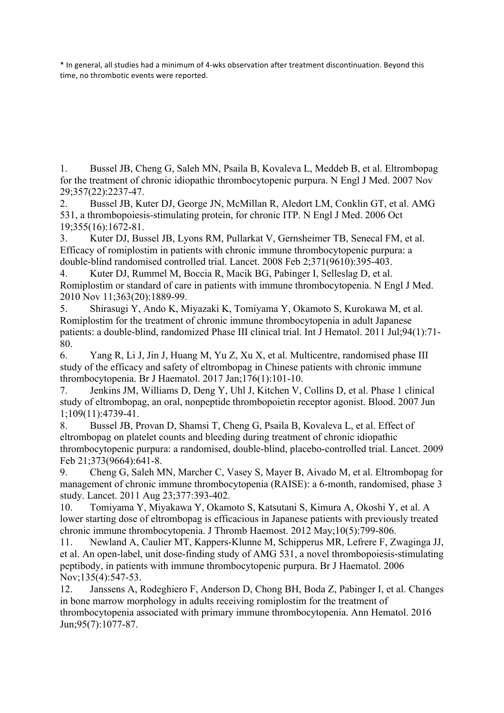\* In general, all studies had a minimum of 4-wks observation after treatment discontinuation. Beyond this time, no thrombotic events were reported.

1. Bussel JB, Cheng G, Saleh MN, Psaila B, Kovaleva L, Meddeb B, et al. Eltrombopag for the treatment of chronic idiopathic thrombocytopenic purpura. N Engl J Med. 2007 Nov 29;357(22):2237-47.

2. Bussel JB, Kuter DJ, George JN, McMillan R, Aledort LM, Conklin GT, et al. AMG 531, a thrombopoiesis-stimulating protein, for chronic ITP. N Engl J Med. 2006 Oct 19;355(16):1672-81.

3. Kuter DJ, Bussel JB, Lyons RM, Pullarkat V, Gernsheimer TB, Senecal FM, et al. Efficacy of romiplostim in patients with chronic immune thrombocytopenic purpura: a double-blind randomised controlled trial. Lancet. 2008 Feb 2;371(9610):395-403.

4. Kuter DJ, Rummel M, Boccia R, Macik BG, Pabinger I, Selleslag D, et al. Romiplostim or standard of care in patients with immune thrombocytopenia. N Engl J Med. 2010 Nov 11;363(20):1889-99.

5. Shirasugi Y, Ando K, Miyazaki K, Tomiyama Y, Okamoto S, Kurokawa M, et al. Romiplostim for the treatment of chronic immune thrombocytopenia in adult Japanese patients: a double-blind, randomized Phase III clinical trial. Int J Hematol. 2011 Jul;94(1):71- 80.

6. Yang R, Li J, Jin J, Huang M, Yu Z, Xu X, et al. Multicentre, randomised phase III study of the efficacy and safety of eltrombopag in Chinese patients with chronic immune thrombocytopenia. Br J Haematol. 2017 Jan;176(1):101-10.

7. Jenkins JM, Williams D, Deng Y, Uhl J, Kitchen V, Collins D, et al. Phase 1 clinical study of eltrombopag, an oral, nonpeptide thrombopoietin receptor agonist. Blood. 2007 Jun 1;109(11):4739-41.

8. Bussel JB, Provan D, Shamsi T, Cheng G, Psaila B, Kovaleva L, et al. Effect of eltrombopag on platelet counts and bleeding during treatment of chronic idiopathic thrombocytopenic purpura: a randomised, double-blind, placebo-controlled trial. Lancet. 2009 Feb 21;373(9664):641-8.

9. Cheng G, Saleh MN, Marcher C, Vasey S, Mayer B, Aivado M, et al. Eltrombopag for management of chronic immune thrombocytopenia (RAISE): a 6-month, randomised, phase 3 study. Lancet. 2011 Aug 23;377:393-402.

10. Tomiyama Y, Miyakawa Y, Okamoto S, Katsutani S, Kimura A, Okoshi Y, et al. A lower starting dose of eltrombopag is efficacious in Japanese patients with previously treated chronic immune thrombocytopenia. J Thromb Haemost. 2012 May;10(5):799-806.

11. Newland A, Caulier MT, Kappers-Klunne M, Schipperus MR, Lefrere F, Zwaginga JJ, et al. An open-label, unit dose-finding study of AMG 531, a novel thrombopoiesis-stimulating peptibody, in patients with immune thrombocytopenic purpura. Br J Haematol. 2006 Nov;135(4):547-53.

12. Janssens A, Rodeghiero F, Anderson D, Chong BH, Boda Z, Pabinger I, et al. Changes in bone marrow morphology in adults receiving romiplostim for the treatment of thrombocytopenia associated with primary immune thrombocytopenia. Ann Hematol. 2016 Jun;95(7):1077-87.